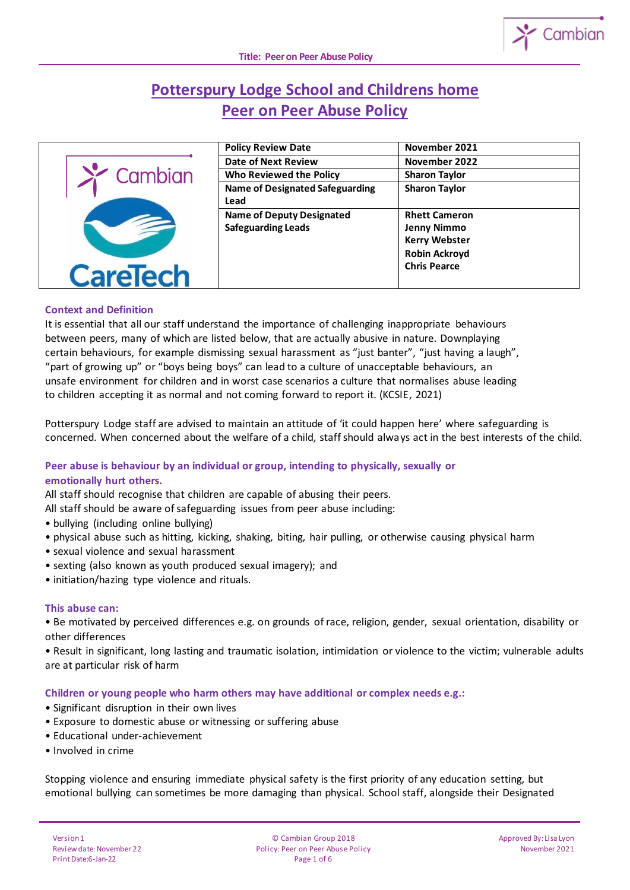

# **Potterspury Lodge School and Childrens home Peer on Peer Abuse Policy**



| <b>Policy Review Date</b>              | November 2021        |
|----------------------------------------|----------------------|
| <b>Date of Next Review</b>             | November 2022        |
| Who Reviewed the Policy                | <b>Sharon Taylor</b> |
| <b>Name of Designated Safeguarding</b> | <b>Sharon Taylor</b> |
| Lead                                   |                      |
| <b>Name of Deputy Designated</b>       | <b>Rhett Cameron</b> |
| <b>Safeguarding Leads</b>              | <b>Jenny Nimmo</b>   |
|                                        | <b>Kerry Webster</b> |
|                                        | <b>Robin Ackroyd</b> |
|                                        | <b>Chris Pearce</b>  |
|                                        |                      |

## **Context and Definition**

It is essential that all our staff understand the importance of challenging inappropriate behaviours between peers, many of which are listed below, that are actually abusive in nature. Downplaying certain behaviours, for example dismissing sexual harassment as "just banter", "just having a laugh", "part of growing up" or "boys being boys" can lead to a culture of unacceptable behaviours, an unsafe environment for children and in worst case scenarios a culture that normalises abuse leading to children accepting it as normal and not coming forward to report it. (KCSIE, 2021)

Potterspury Lodge staff are advised to maintain an attitude of 'it could happen here' where safeguarding is concerned. When concerned about the welfare of a child, staff should always act in the best interests of the child.

## **Peer abuse is behaviour by an individual or group, intending to physically, sexually or emotionally hurt others.**

All staff should recognise that children are capable of abusing their peers.

All staff should be aware of safeguarding issues from peer abuse including:

- bullying (including online bullying)
- physical abuse such as hitting, kicking, shaking, biting, hair pulling, or otherwise causing physical harm
- sexual violence and sexual harassment
- sexting (also known as youth produced sexual imagery); and
- initiation/hazing type violence and rituals.

## **This abuse can:**

• Be motivated by perceived differences e.g. on grounds of race, religion, gender, sexual orientation, disability or other differences

• Result in significant, long lasting and traumatic isolation, intimidation or violence to the victim; vulnerable adults are at particular risk of harm

**Children or young people who harm others may have additional or complex needs e.g.:**

- Significant disruption in their own lives
- Exposure to domestic abuse or witnessing or suffering abuse
- Educational under-achievement
- Involved in crime

Stopping violence and ensuring immediate physical safety is the first priority of any education setting, but emotional bullying can sometimes be more damaging than physical. School staff, alongside their Designated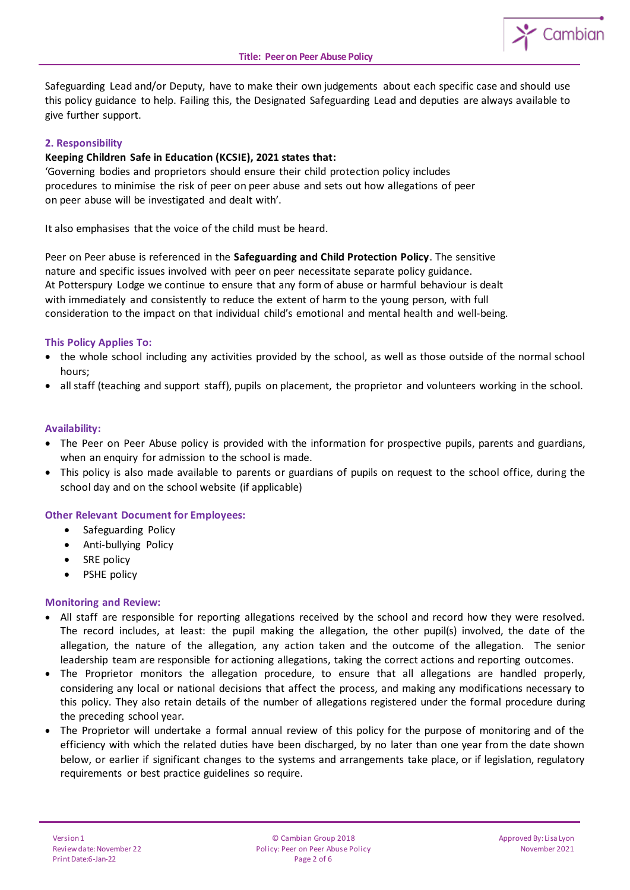

Safeguarding Lead and/or Deputy, have to make their own judgements about each specific case and should use this policy guidance to help. Failing this, the Designated Safeguarding Lead and deputies are always available to give further support.

# **2. Responsibility**

## **Keeping Children Safe in Education (KCSIE), 2021 states that:**

'Governing bodies and proprietors should ensure their child protection policy includes procedures to minimise the risk of peer on peer abuse and sets out how allegations of peer on peer abuse will be investigated and dealt with'.

It also emphasises that the voice of the child must be heard.

Peer on Peer abuse is referenced in the **Safeguarding and Child Protection Policy**. The sensitive nature and specific issues involved with peer on peer necessitate separate policy guidance. At Potterspury Lodge we continue to ensure that any form of abuse or harmful behaviour is dealt with immediately and consistently to reduce the extent of harm to the young person, with full consideration to the impact on that individual child's emotional and mental health and well-being.

## **This Policy Applies To:**

- the whole school including any activities provided by the school, as well as those outside of the normal school hours;
- all staff (teaching and support staff), pupils on placement, the proprietor and volunteers working in the school.

#### **Availability:**

- The Peer on Peer Abuse policy is provided with the information for prospective pupils, parents and guardians, when an enquiry for admission to the school is made.
- This policy is also made available to parents or guardians of pupils on request to the school office, during the school day and on the school website (if applicable)

## **Other Relevant Document for Employees:**

- Safeguarding Policy
- Anti-bullying Policy
- SRE policy
- PSHE policy

#### **Monitoring and Review:**

- All staff are responsible for reporting allegations received by the school and record how they were resolved. The record includes, at least: the pupil making the allegation, the other pupil(s) involved, the date of the allegation, the nature of the allegation, any action taken and the outcome of the allegation. The senior leadership team are responsible for actioning allegations, taking the correct actions and reporting outcomes.
- The Proprietor monitors the allegation procedure, to ensure that all allegations are handled properly, considering any local or national decisions that affect the process, and making any modifications necessary to this policy. They also retain details of the number of allegations registered under the formal procedure during the preceding school year.
- The Proprietor will undertake a formal annual review of this policy for the purpose of monitoring and of the efficiency with which the related duties have been discharged, by no later than one year from the date shown below, or earlier if significant changes to the systems and arrangements take place, or if legislation, regulatory requirements or best practice guidelines so require.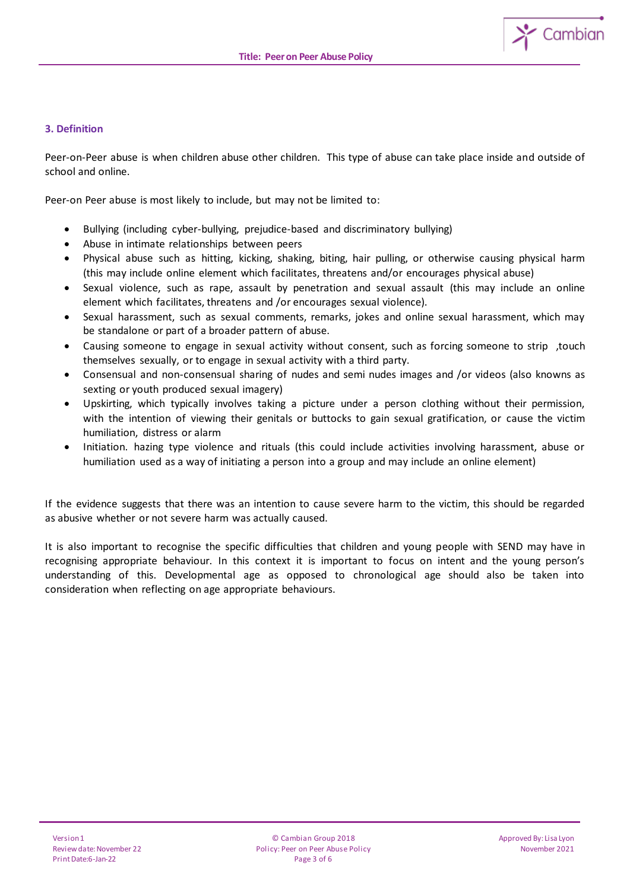

# **3. Definition**

Peer-on-Peer abuse is when children abuse other children. This type of abuse can take place inside and outside of school and online.

Peer-on Peer abuse is most likely to include, but may not be limited to:

- Bullying (including cyber-bullying, prejudice-based and discriminatory bullying)
- Abuse in intimate relationships between peers
- Physical abuse such as hitting, kicking, shaking, biting, hair pulling, or otherwise causing physical harm (this may include online element which facilitates, threatens and/or encourages physical abuse)
- Sexual violence, such as rape, assault by penetration and sexual assault (this may include an online element which facilitates, threatens and /or encourages sexual violence).
- Sexual harassment, such as sexual comments, remarks, jokes and online sexual harassment, which may be standalone or part of a broader pattern of abuse.
- Causing someone to engage in sexual activity without consent, such as forcing someone to strip ,touch themselves sexually, or to engage in sexual activity with a third party.
- Consensual and non-consensual sharing of nudes and semi nudes images and /or videos (also knowns as sexting or youth produced sexual imagery)
- Upskirting, which typically involves taking a picture under a person clothing without their permission, with the intention of viewing their genitals or buttocks to gain sexual gratification, or cause the victim humiliation, distress or alarm
- Initiation. hazing type violence and rituals (this could include activities involving harassment, abuse or humiliation used as a way of initiating a person into a group and may include an online element)

If the evidence suggests that there was an intention to cause severe harm to the victim, this should be regarded as abusive whether or not severe harm was actually caused.

It is also important to recognise the specific difficulties that children and young people with SEND may have in recognising appropriate behaviour. In this context it is important to focus on intent and the young person's understanding of this. Developmental age as opposed to chronological age should also be taken into consideration when reflecting on age appropriate behaviours.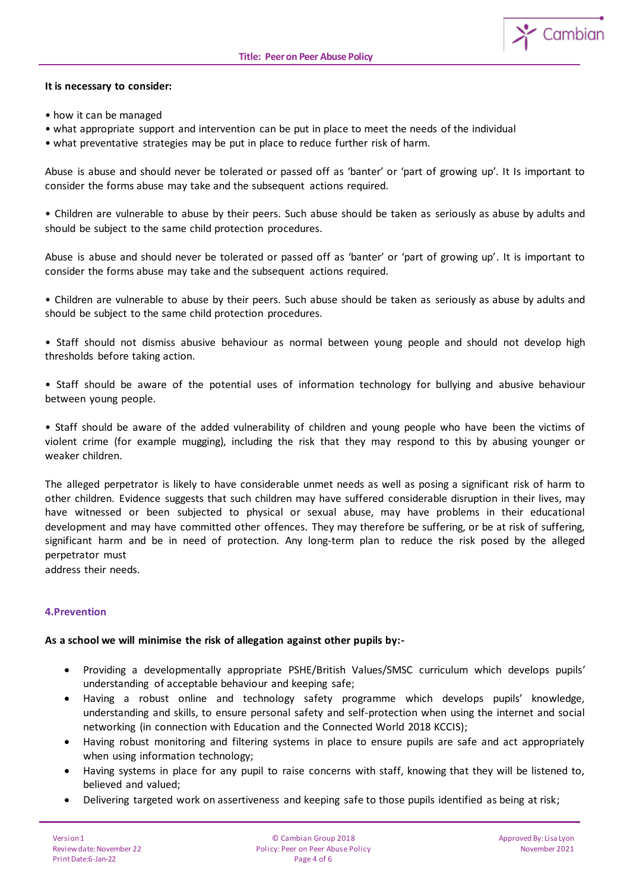

- how it can be managed
- what appropriate support and intervention can be put in place to meet the needs of the individual
- what preventative strategies may be put in place to reduce further risk of harm.

Abuse is abuse and should never be tolerated or passed off as 'banter' or 'part of growing up'. It Is important to consider the forms abuse may take and the subsequent actions required.

• Children are vulnerable to abuse by their peers. Such abuse should be taken as seriously as abuse by adults and should be subject to the same child protection procedures.

Abuse is abuse and should never be tolerated or passed off as 'banter' or 'part of growing up'. It is important to consider the forms abuse may take and the subsequent actions required.

• Children are vulnerable to abuse by their peers. Such abuse should be taken as seriously as abuse by adults and should be subject to the same child protection procedures.

• Staff should not dismiss abusive behaviour as normal between young people and should not develop high thresholds before taking action.

• Staff should be aware of the potential uses of information technology for bullying and abusive behaviour between young people.

• Staff should be aware of the added vulnerability of children and young people who have been the victims of violent crime (for example mugging), including the risk that they may respond to this by abusing younger or weaker children.

The alleged perpetrator is likely to have considerable unmet needs as well as posing a significant risk of harm to other children. Evidence suggests that such children may have suffered considerable disruption in their lives, may have witnessed or been subjected to physical or sexual abuse, may have problems in their educational development and may have committed other offences. They may therefore be suffering, or be at risk of suffering, significant harm and be in need of protection. Any long-term plan to reduce the risk posed by the alleged perpetrator must

address their needs.

## **4.Prevention**

#### **As a school we will minimise the risk of allegation against other pupils by:-**

- Providing a developmentally appropriate PSHE/British Values/SMSC curriculum which develops pupils' understanding of acceptable behaviour and keeping safe;
- Having a robust online and technology safety programme which develops pupils' knowledge, understanding and skills, to ensure personal safety and self-protection when using the internet and social networking (in connection with Education and the Connected World 2018 KCCIS);
- Having robust monitoring and filtering systems in place to ensure pupils are safe and act appropriately when using information technology;
- Having systems in place for any pupil to raise concerns with staff, knowing that they will be listened to, believed and valued;
- Delivering targeted work on assertiveness and keeping safe to those pupils identified as being at risk;

Cambian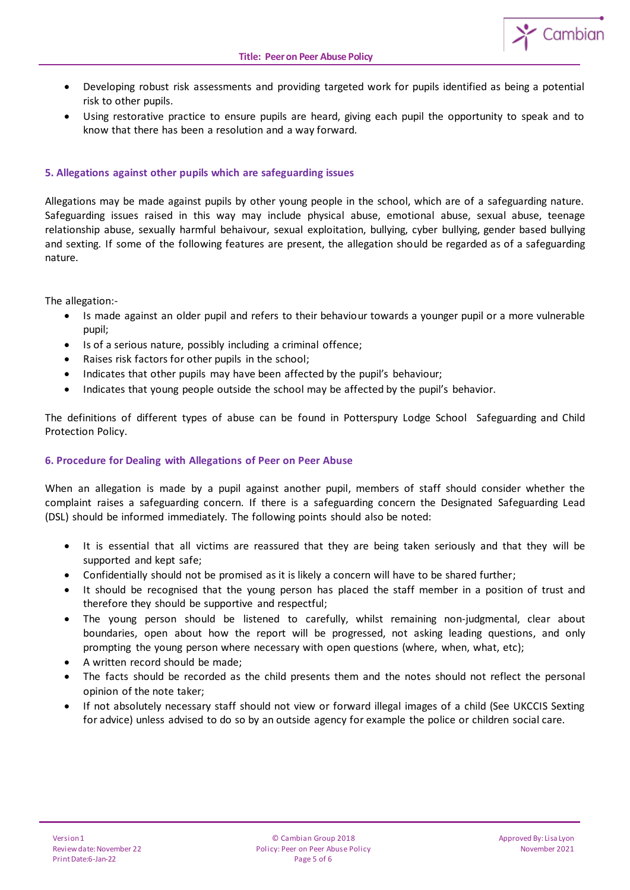

- Developing robust risk assessments and providing targeted work for pupils identified as being a potential risk to other pupils.
- Using restorative practice to ensure pupils are heard, giving each pupil the opportunity to speak and to know that there has been a resolution and a way forward.

# **5. Allegations against other pupils which are safeguarding issues**

Allegations may be made against pupils by other young people in the school, which are of a safeguarding nature. Safeguarding issues raised in this way may include physical abuse, emotional abuse, sexual abuse, teenage relationship abuse, sexually harmful behaivour, sexual exploitation, bullying, cyber bullying, gender based bullying and sexting. If some of the following features are present, the allegation should be regarded as of a safeguarding nature.

The allegation:-

- Is made against an older pupil and refers to their behaviour towards a younger pupil or a more vulnerable pupil;
- Is of a serious nature, possibly including a criminal offence;
- Raises risk factors for other pupils in the school;
- Indicates that other pupils may have been affected by the pupil's behaviour;
- Indicates that young people outside the school may be affected by the pupil's behavior.

The definitions of different types of abuse can be found in Potterspury Lodge School Safeguarding and Child Protection Policy.

## **6. Procedure for Dealing with Allegations of Peer on Peer Abuse**

When an allegation is made by a pupil against another pupil, members of staff should consider whether the complaint raises a safeguarding concern. If there is a safeguarding concern the Designated Safeguarding Lead (DSL) should be informed immediately. The following points should also be noted:

- It is essential that all victims are reassured that they are being taken seriously and that they will be supported and kept safe;
- Confidentially should not be promised as it is likely a concern will have to be shared further;
- It should be recognised that the young person has placed the staff member in a position of trust and therefore they should be supportive and respectful;
- The young person should be listened to carefully, whilst remaining non-judgmental, clear about boundaries, open about how the report will be progressed, not asking leading questions, and only prompting the young person where necessary with open questions (where, when, what, etc);
- A written record should be made;
- The facts should be recorded as the child presents them and the notes should not reflect the personal opinion of the note taker;
- If not absolutely necessary staff should not view or forward illegal images of a child (See UKCCIS Sexting for advice) unless advised to do so by an outside agency for example the police or children social care.